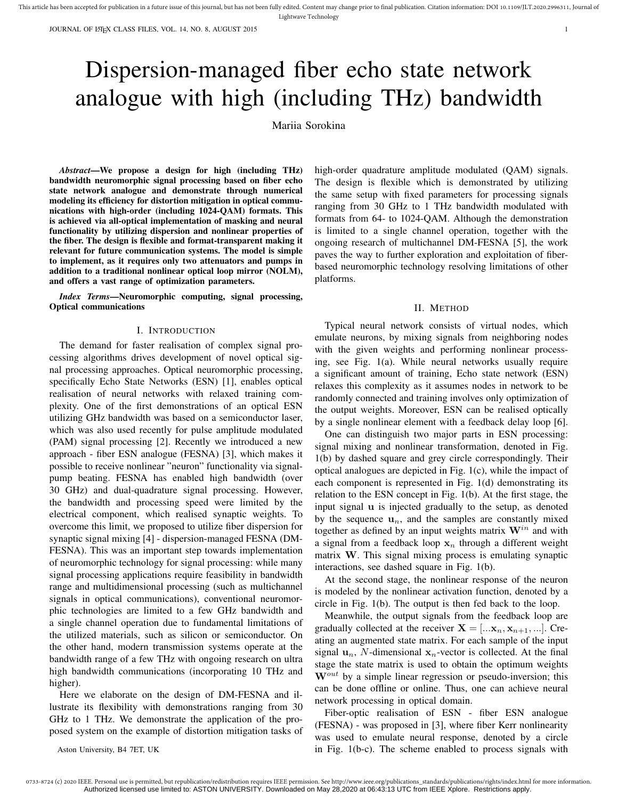JOURNAL OF LATEX CLASS FILES, VOL. 14, NO. 8, AUGUST 2015 1

# Dispersion-managed fiber echo state network analogue with high (including THz) bandwidth

Mariia Sorokina

*Abstract*—We propose a design for high (including THz) bandwidth neuromorphic signal processing based on fiber echo state network analogue and demonstrate through numerical modeling its efficiency for distortion mitigation in optical communications with high-order (including 1024-QAM) formats. This is achieved via all-optical implementation of masking and neural functionality by utilizing dispersion and nonlinear properties of the fiber. The design is flexible and format-transparent making it relevant for future communication systems. The model is simple to implement, as it requires only two attenuators and pumps in addition to a traditional nonlinear optical loop mirror (NOLM), and offers a vast range of optimization parameters.

*Index Terms*—Neuromorphic computing, signal processing, Optical communications

## I. INTRODUCTION

The demand for faster realisation of complex signal processing algorithms drives development of novel optical signal processing approaches. Optical neuromorphic processing, specifically Echo State Networks (ESN) [1], enables optical realisation of neural networks with relaxed training complexity. One of the first demonstrations of an optical ESN utilizing GHz bandwidth was based on a semiconductor laser, which was also used recently for pulse amplitude modulated (PAM) signal processing [2]. Recently we introduced a new approach - fiber ESN analogue (FESNA) [3], which makes it possible to receive nonlinear "neuron" functionality via signalpump beating. FESNA has enabled high bandwidth (over 30 GHz) and dual-quadrature signal processing. However, the bandwidth and processing speed were limited by the electrical component, which realised synaptic weights. To overcome this limit, we proposed to utilize fiber dispersion for synaptic signal mixing [4] - dispersion-managed FESNA (DM-FESNA). This was an important step towards implementation of neuromorphic technology for signal processing: while many signal processing applications require feasibility in bandwidth range and multidimensional processing (such as multichannel signals in optical communications), conventional neuromorphic technologies are limited to a few GHz bandwidth and a single channel operation due to fundamental limitations of the utilized materials, such as silicon or semiconductor. On the other hand, modern transmission systems operate at the bandwidth range of a few THz with ongoing research on ultra high bandwidth communications (incorporating 10 THz and higher).

Here we elaborate on the design of DM-FESNA and illustrate its flexibility with demonstrations ranging from 30 GHz to 1 THz. We demonstrate the application of the proposed system on the example of distortion mitigation tasks of

Aston University, B4 7ET, UK

high-order quadrature amplitude modulated (OAM) signals. The design is flexible which is demonstrated by utilizing the same setup with fixed parameters for processing signals ranging from 30 GHz to 1 THz bandwidth modulated with formats from 64- to 1024-QAM. Although the demonstration is limited to a single channel operation, together with the ongoing research of multichannel DM-FESNA [5], the work paves the way to further exploration and exploitation of fiberbased neuromorphic technology resolving limitations of other platforms.

#### II. METHOD

Typical neural network consists of virtual nodes, which emulate neurons, by mixing signals from neighboring nodes with the given weights and performing nonlinear processing, see Fig. 1(a). While neural networks usually require a significant amount of training, Echo state network (ESN) relaxes this complexity as it assumes nodes in network to be randomly connected and training involves only optimization of the output weights. Moreover, ESN can be realised optically by a single nonlinear element with a feedback delay loop [6].

One can distinguish two major parts in ESN processing: signal mixing and nonlinear transformation, denoted in Fig. 1(b) by dashed square and grey circle correspondingly. Their optical analogues are depicted in Fig. 1(c), while the impact of each component is represented in Fig. 1(d) demonstrating its relation to the ESN concept in Fig. 1(b). At the first stage, the input signal u is injected gradually to the setup, as denoted by the sequence  $\mathbf{u}_n$ , and the samples are constantly mixed together as defined by an input weights matrix  $W^{in}$  and with a signal from a feedback loop  $x_n$  through a different weight matrix W. This signal mixing process is emulating synaptic interactions, see dashed square in Fig. 1(b).

At the second stage, the nonlinear response of the neuron is modeled by the nonlinear activation function, denoted by a circle in Fig. 1(b). The output is then fed back to the loop.

Meanwhile, the output signals from the feedback loop are gradually collected at the receiver  $X = [\dots, x_n, x_{n+1}, \dots]$ . Creating an augmented state matrix. For each sample of the input signal  $\mathbf{u}_n$ , N-dimensional  $\mathbf{x}_n$ -vector is collected. At the final stage the state matrix is used to obtain the optimum weights  $W^{out}$  by a simple linear regression or pseudo-inversion; this can be done offline or online. Thus, one can achieve neural network processing in optical domain.

Fiber-optic realisation of ESN - fiber ESN analogue (FESNA) - was proposed in [3], where fiber Kerr nonlinearity was used to emulate neural response, denoted by a circle in Fig. 1(b-c). The scheme enabled to process signals with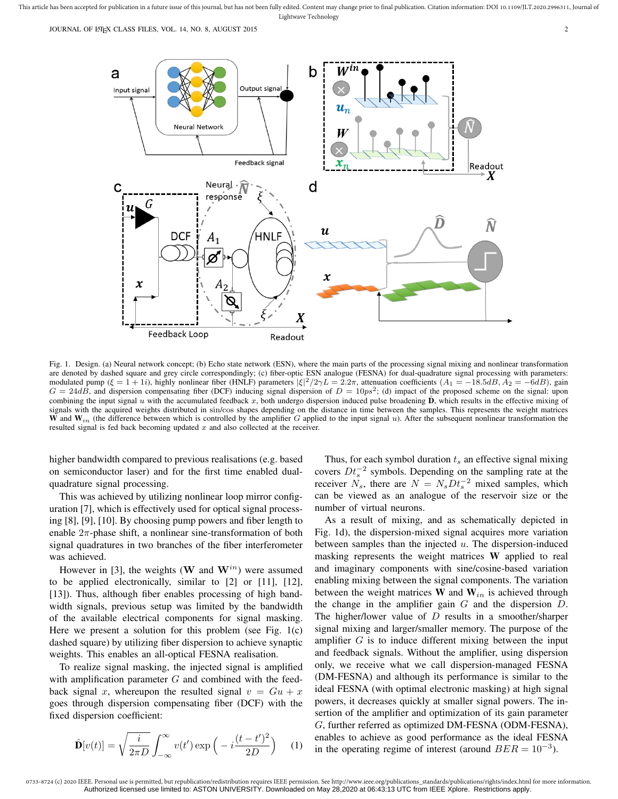This article has been accepted for publication in a future issue of this journal, but has not been fully edited. Content may change prior to final publication. Citation information: DOI 10.1109/JLT.2020.2996311, Journal of Lightwave Technology

JOURNAL OF LATEX CLASS FILES, VOL. 14, NO. 8, AUGUST 2015 2015



Fig. 1. Design. (a) Neural network concept; (b) Echo state network (ESN), where the main parts of the processing signal mixing and nonlinear transformation are denoted by dashed square and grey circle correspondingly; (c) fiber-optic ESN analogue (FESNA) for dual-quadrature signal processing with parameters: modulated pump ( $\xi = 1 + 1i$ ), highly nonlinear fiber (HNLF) parameters  $|\xi|^2/2\gamma L = 2\pi$ , attenuation coefficients ( $A_1 = -18.5dB$ ,  $A_2 = -6dB$ ), gain  $G = 24dB$ , and dispersion compensating fiber (DCF) inducing signal dispersion of  $D = 10ps^2$ ; (d) impact of the proposed scheme on the signal: upon combining the input signal u with the accumulated feedback x, both undergo dispersion induced pulse broadening  $D$ , which results in the effective mixing of signals with the acquired weights distributed in sin/cos shapes depending on the distance in time between the samples. This represents the weight matrices W and  $W_{in}$  (the difference between which is controlled by the amplifier G applied to the input signal u). After the subsequent nonlinear transformation the resulted signal is fed back becoming updated  $x$  and also collected at the receiver.

higher bandwidth compared to previous realisations (e.g. based on semiconductor laser) and for the first time enabled dualquadrature signal processing.

This was achieved by utilizing nonlinear loop mirror configuration [7], which is effectively used for optical signal processing [8], [9], [10]. By choosing pump powers and fiber length to enable  $2\pi$ -phase shift, a nonlinear sine-transformation of both signal quadratures in two branches of the fiber interferometer was achieved.

However in [3], the weights (W and  $W^{in}$ ) were assumed to be applied electronically, similar to [2] or [11], [12], [13]). Thus, although fiber enables processing of high bandwidth signals, previous setup was limited by the bandwidth of the available electrical components for signal masking. Here we present a solution for this problem (see Fig.  $1(c)$ ) dashed square) by utilizing fiber dispersion to achieve synaptic weights. This enables an all-optical FESNA realisation.

To realize signal masking, the injected signal is amplified with amplification parameter  $G$  and combined with the feedback signal x, whereupon the resulted signal  $v = Gu + x$ goes through dispersion compensating fiber (DCF) with the fixed dispersion coefficient:

$$
\hat{\mathbf{D}}[v(t)] = \sqrt{\frac{i}{2\pi D}} \int_{-\infty}^{\infty} v(t') \exp\left(-i\frac{(t-t')^2}{2D}\right) \quad (1)
$$

Thus, for each symbol duration  $t_s$  an effective signal mixing covers  $Dt_s^{-2}$  symbols. Depending on the sampling rate at the receiver  $N_s$ , there are  $N = N_s D t_s^{-2}$  mixed samples, which can be viewed as an analogue of the reservoir size or the number of virtual neurons.

As a result of mixing, and as schematically depicted in Fig. 1d), the dispersion-mixed signal acquires more variation between samples than the injected  $u$ . The dispersion-induced masking represents the weight matrices W applied to real and imaginary components with sine/cosine-based variation enabling mixing between the signal components. The variation between the weight matrices  $W$  and  $W_{in}$  is achieved through the change in the amplifier gain  $G$  and the dispersion  $D$ . The higher/lower value of  $D$  results in a smoother/sharper signal mixing and larger/smaller memory. The purpose of the amplifier  $G$  is to induce different mixing between the input and feedback signals. Without the amplifier, using dispersion only, we receive what we call dispersion-managed FESNA (DM-FESNA) and although its performance is similar to the ideal FESNA (with optimal electronic masking) at high signal powers, it decreases quickly at smaller signal powers. The insertion of the amplifier and optimization of its gain parameter G, further referred as optimized DM-FESNA (ODM-FESNA), enables to achieve as good performance as the ideal FESNA in the operating regime of interest (around  $BER = 10^{-3}$ ).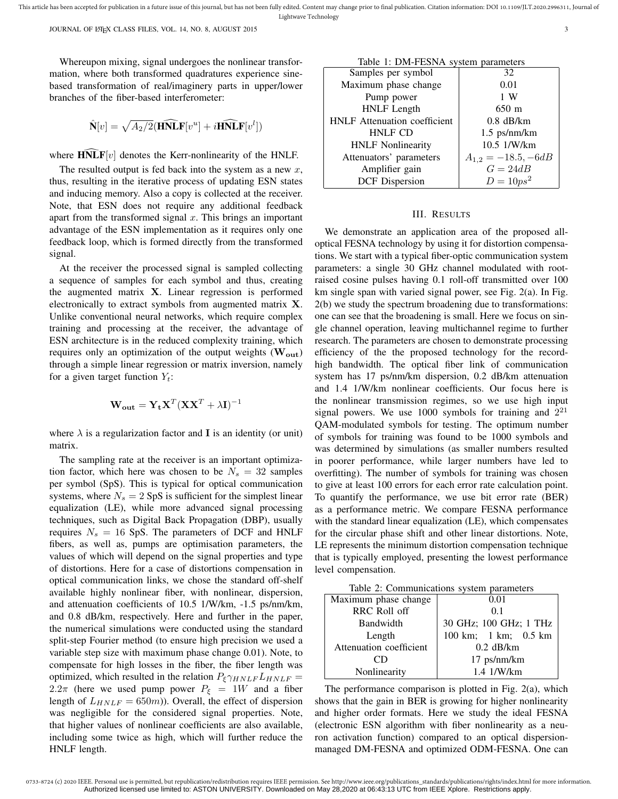This article has been accepted for publication in a future issue of this journal, but has not been fully edited. Content may change prior to final publication. Citation information: DOI 10.1109/JLT.2020.2996311, Journal of Lightwave Technology

JOURNAL OF LATEX CLASS FILES, VOL. 14, NO. 8, AUGUST 2015 33

Whereupon mixing, signal undergoes the nonlinear transformation, where both transformed quadratures experience sinebased transformation of real/imaginery parts in upper/lower branches of the fiber-based interferometer:

$$
\hat{\mathbf{N}}[v] = \sqrt{A_2/2} (\hat{\mathbf{H}} \hat{\mathbf{N}} \mathbf{L} \mathbf{F}[v^u] + i \hat{\mathbf{H}} \hat{\mathbf{N}} \mathbf{L} \mathbf{F}[v^l])
$$

where  $\widehat{\text{HNLF}}[v]$  denotes the Kerr-nonlinearity of the HNLF.

The resulted output is fed back into the system as a new  $x$ , thus, resulting in the iterative process of updating ESN states and inducing memory. Also a copy is collected at the receiver. Note, that ESN does not require any additional feedback apart from the transformed signal  $x$ . This brings an important advantage of the ESN implementation as it requires only one feedback loop, which is formed directly from the transformed signal.

At the receiver the processed signal is sampled collecting a sequence of samples for each symbol and thus, creating the augmented matrix X. Linear regression is performed electronically to extract symbols from augmented matrix X. Unlike conventional neural networks, which require complex training and processing at the receiver, the advantage of ESN architecture is in the reduced complexity training, which requires only an optimization of the output weights  $(W_{out})$ through a simple linear regression or matrix inversion, namely for a given target function  $Y_t$ :

$$
\mathbf{W_{out}} = \mathbf{Y_t} \mathbf{X}^T (\mathbf{X} \mathbf{X}^T + \lambda \mathbf{I})^{-1}
$$

where  $\lambda$  is a regularization factor and **I** is an identity (or unit) matrix.

The sampling rate at the receiver is an important optimization factor, which here was chosen to be  $N_s = 32$  samples per symbol (SpS). This is typical for optical communication systems, where  $N_s = 2$  SpS is sufficient for the simplest linear equalization (LE), while more advanced signal processing techniques, such as Digital Back Propagation (DBP), usually requires  $N_s = 16$  SpS. The parameters of DCF and HNLF fibers, as well as, pumps are optimisation parameters, the values of which will depend on the signal properties and type of distortions. Here for a case of distortions compensation in optical communication links, we chose the standard off-shelf available highly nonlinear fiber, with nonlinear, dispersion, and attenuation coefficients of 10.5 1/W/km, -1.5 ps/nm/km, and 0.8 dB/km, respectively. Here and further in the paper, the numerical simulations were conducted using the standard split-step Fourier method (to ensure high precision we used a variable step size with maximum phase change 0.01). Note, to compensate for high losses in the fiber, the fiber length was optimized, which resulted in the relation  $P_{\xi} \gamma_{HNLF} L_{HNLF}$  = 2.2π (here we used pump power  $P_{\xi} = 1W$  and a fiber length of  $L_{HNLF} = 650m$ ). Overall, the effect of dispersion was negligible for the considered signal properties. Note, that higher values of nonlinear coefficients are also available, including some twice as high, which will further reduce the HNLF length.

| Table 1. DIM-FESINA System parameters |                         |  |
|---------------------------------------|-------------------------|--|
| Samples per symbol                    | 32                      |  |
| Maximum phase change                  | 0.01                    |  |
| Pump power                            | 1 W                     |  |
| <b>HNLF</b> Length                    | $650 \text{ m}$         |  |
| <b>HNLF</b> Attenuation coefficient   | $0.8$ dB/km             |  |
| <b>HNLF CD</b>                        | $1.5$ ps/nm/km          |  |
| <b>HNLF</b> Nonlinearity              | 10.5 1/W/km             |  |
| Attenuators' parameters               | $A_{1,2} = -18.5, -6dB$ |  |
| Amplifier gain                        | $G = 24dB$              |  |
| <b>DCF</b> Dispersion                 | $D = 10 ps^2$           |  |

 $T_2$ kla 1: DM-EESNA system

### III. RESULTS

We demonstrate an application area of the proposed alloptical FESNA technology by using it for distortion compensations. We start with a typical fiber-optic communication system parameters: a single 30 GHz channel modulated with rootraised cosine pulses having 0.1 roll-off transmitted over 100 km single span with varied signal power, see Fig. 2(a). In Fig. 2(b) we study the spectrum broadening due to transformations: one can see that the broadening is small. Here we focus on single channel operation, leaving multichannel regime to further research. The parameters are chosen to demonstrate processing efficiency of the the proposed technology for the recordhigh bandwidth. The optical fiber link of communication system has 17 ps/nm/km dispersion, 0.2 dB/km attenuation and 1.4 1/W/km nonlinear coefficients. Our focus here is the nonlinear transmission regimes, so we use high input signal powers. We use 1000 symbols for training and  $2^{21}$ QAM-modulated symbols for testing. The optimum number of symbols for training was found to be 1000 symbols and was determined by simulations (as smaller numbers resulted in poorer performance, while larger numbers have led to overfitting). The number of symbols for training was chosen to give at least 100 errors for each error rate calculation point. To quantify the performance, we use bit error rate (BER) as a performance metric. We compare FESNA performance with the standard linear equalization (LE), which compensates for the circular phase shift and other linear distortions. Note, LE represents the minimum distortion compensation technique that is typically employed, presenting the lowest performance level compensation.

| Table 2: Communications system parameters |  |  |
|-------------------------------------------|--|--|
|-------------------------------------------|--|--|

| Maximum phase change    | 0.01                   |
|-------------------------|------------------------|
| <b>RRC Roll off</b>     | 0.1                    |
| Bandwidth               | 30 GHz; 100 GHz; 1 THz |
| Length                  | 100 km; 1 km; 0.5 km   |
| Attenuation coefficient | $0.2$ dB/km            |
|                         | $17$ ps/nm/km          |
| Nonlinearity            | 1.4 1/W/km             |

The performance comparison is plotted in Fig. 2(a), which shows that the gain in BER is growing for higher nonlinearity and higher order formats. Here we study the ideal FESNA (electronic ESN algorithm with fiber nonlinearity as a neuron activation function) compared to an optical dispersionmanaged DM-FESNA and optimized ODM-FESNA. One can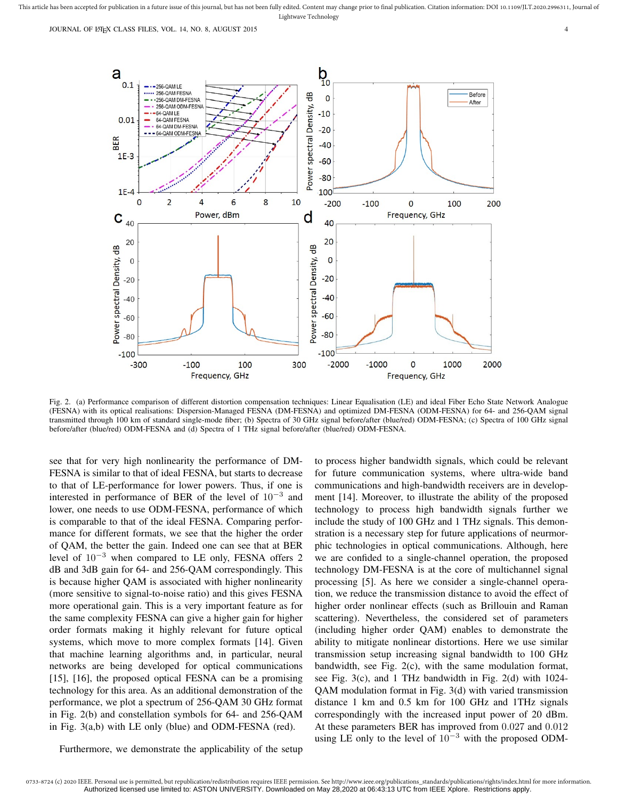JOURNAL OF LATEX CLASS FILES, VOL. 14, NO. 8, AUGUST 2015 4



Fig. 2. (a) Performance comparison of different distortion compensation techniques: Linear Equalisation (LE) and ideal Fiber Echo State Network Analogue (FESNA) with its optical realisations: Dispersion-Managed FESNA (DM-FESNA) and optimized DM-FESNA (ODM-FESNA) for 64- and 256-QAM signal transmitted through 100 km of standard single-mode fiber; (b) Spectra of 30 GHz signal before/after (blue/red) ODM-FESNA; (c) Spectra of 100 GHz signal before/after (blue/red) ODM-FESNA and (d) Spectra of 1 THz signal before/after (blue/red) ODM-FESNA.

see that for very high nonlinearity the performance of DM-FESNA is similar to that of ideal FESNA, but starts to decrease to that of LE-performance for lower powers. Thus, if one is interested in performance of BER of the level of  $10^{-3}$  and lower, one needs to use ODM-FESNA, performance of which is comparable to that of the ideal FESNA. Comparing performance for different formats, we see that the higher the order of QAM, the better the gain. Indeed one can see that at BER level of  $10^{-3}$  when compared to LE only, FESNA offers 2 dB and 3dB gain for 64- and 256-QAM correspondingly. This is because higher QAM is associated with higher nonlinearity (more sensitive to signal-to-noise ratio) and this gives FESNA more operational gain. This is a very important feature as for the same complexity FESNA can give a higher gain for higher order formats making it highly relevant for future optical systems, which move to more complex formats [14]. Given that machine learning algorithms and, in particular, neural networks are being developed for optical communications [15], [16], the proposed optical FESNA can be a promising technology for this area. As an additional demonstration of the performance, we plot a spectrum of 256-QAM 30 GHz format in Fig. 2(b) and constellation symbols for 64- and 256-QAM in Fig. 3(a,b) with LE only (blue) and ODM-FESNA (red).

Furthermore, we demonstrate the applicability of the setup

to process higher bandwidth signals, which could be relevant for future communication systems, where ultra-wide band communications and high-bandwidth receivers are in development [14]. Moreover, to illustrate the ability of the proposed technology to process high bandwidth signals further we include the study of 100 GHz and 1 THz signals. This demonstration is a necessary step for future applications of neurmorphic technologies in optical communications. Although, here we are confided to a single-channel operation, the proposed technology DM-FESNA is at the core of multichannel signal processing [5]. As here we consider a single-channel operation, we reduce the transmission distance to avoid the effect of higher order nonlinear effects (such as Brillouin and Raman scattering). Nevertheless, the considered set of parameters (including higher order QAM) enables to demonstrate the ability to mitigate nonlinear distortions. Here we use similar transmission setup increasing signal bandwidth to 100 GHz bandwidth, see Fig. 2(c), with the same modulation format, see Fig. 3(c), and 1 THz bandwidth in Fig. 2(d) with 1024- QAM modulation format in Fig. 3(d) with varied transmission distance 1 km and 0.5 km for 100 GHz and 1THz signals correspondingly with the increased input power of 20 dBm. At these parameters BER has improved from 0.027 and 0.012 using LE only to the level of  $10^{-3}$  with the proposed ODM-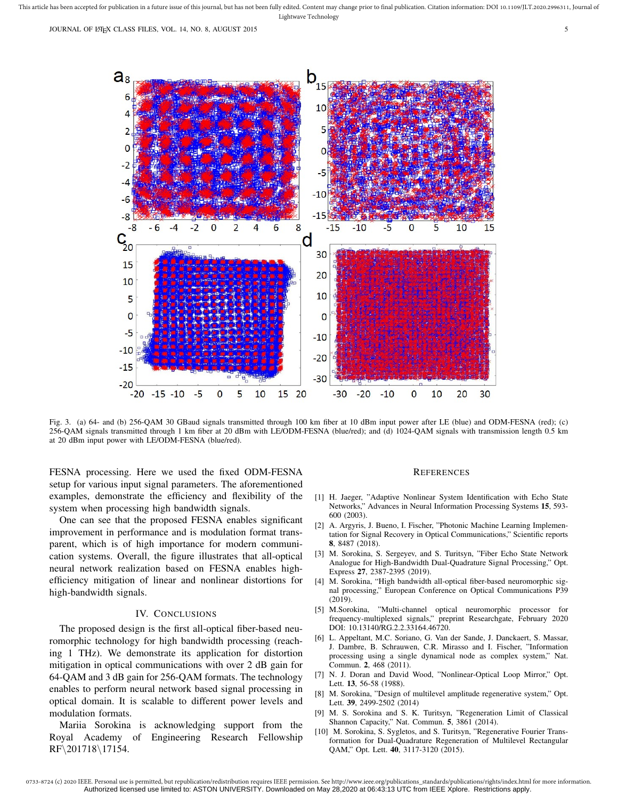

Fig. 3. (a) 64- and (b) 256-QAM 30 GBaud signals transmitted through 100 km fiber at 10 dBm input power after LE (blue) and ODM-FESNA (red); (c) 256-QAM signals transmitted through 1 km fiber at 20 dBm with LE/ODM-FESNA (blue/red); and (d) 1024-QAM signals with transmission length 0.5 km at 20 dBm input power with LE/ODM-FESNA (blue/red).

FESNA processing. Here we used the fixed ODM-FESNA setup for various input signal parameters. The aforementioned examples, demonstrate the efficiency and flexibility of the system when processing high bandwidth signals.

One can see that the proposed FESNA enables significant improvement in performance and is modulation format transparent, which is of high importance for modern communication systems. Overall, the figure illustrates that all-optical neural network realization based on FESNA enables highefficiency mitigation of linear and nonlinear distortions for high-bandwidth signals.

### IV. CONCLUSIONS

The proposed design is the first all-optical fiber-based neuromorphic technology for high bandwidth processing (reaching 1 THz). We demonstrate its application for distortion mitigation in optical communications with over 2 dB gain for 64-QAM and 3 dB gain for 256-QAM formats. The technology enables to perform neural network based signal processing in optical domain. It is scalable to different power levels and modulation formats.

Mariia Sorokina is acknowledging support from the Royal Academy of Engineering Research Fellowship RF\201718\17154.

#### **REFERENCES**

- [1] H. Jaeger, "Adaptive Nonlinear System Identification with Echo State Networks," Advances in Neural Information Processing Systems 15, 593- 600 (2003).
- [2] A. Argyris, J. Bueno, I. Fischer, "Photonic Machine Learning Implementation for Signal Recovery in Optical Communications," Scientific reports 8, 8487 (2018).
- [3] M. Sorokina, S. Sergeyev, and S. Turitsyn, "Fiber Echo State Network Analogue for High-Bandwidth Dual-Quadrature Signal Processing," Opt. Express 27, 2387-2395 (2019).
- [4] M. Sorokina, "High bandwidth all-optical fiber-based neuromorphic signal processing," European Conference on Optical Communications P39 (2019).
- [5] M.Sorokina, "Multi-channel optical neuromorphic processor for frequency-multiplexed signals," preprint Researchgate, February 2020 DOI: 10.13140/RG.2.2.33164.46720.
- [6] L. Appeltant, M.C. Soriano, G. Van der Sande, J. Danckaert, S. Massar, J. Dambre, B. Schrauwen, C.R. Mirasso and I. Fischer, "Information processing using a single dynamical node as complex system," Nat. Commun. 2, 468 (2011).
- [7] N. J. Doran and David Wood, "Nonlinear-Optical Loop Mirror," Opt. Lett. 13, 56-58 (1988).
- [8] M. Sorokina, "Design of multilevel amplitude regenerative system," Opt. Lett. 39, 2499-2502 (2014)
- [9] M. S. Sorokina and S. K. Turitsyn, "Regeneration Limit of Classical Shannon Capacity," Nat. Commun. 5, 3861 (2014).
- [10] M. Sorokina, S. Sygletos, and S. Turitsyn, "Regenerative Fourier Transformation for Dual-Quadrature Regeneration of Multilevel Rectangular QAM," Opt. Lett. 40, 3117-3120 (2015).